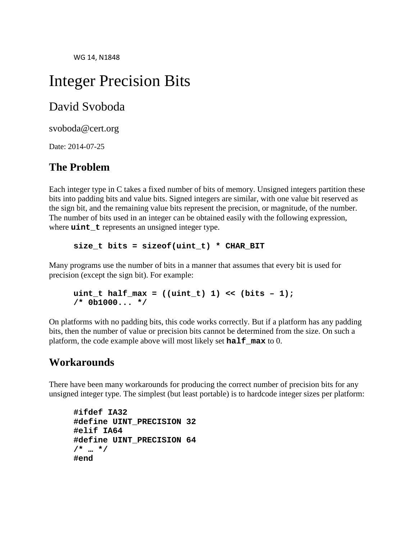# Integer Precision Bits

# David Svoboda

svoboda@cert.org

Date: 2014-07-25

# **The Problem**

Each integer type in C takes a fixed number of bits of memory. Unsigned integers partition these bits into padding bits and value bits. Signed integers are similar, with one value bit reserved as the sign bit, and the remaining value bits represent the precision, or magnitude, of the number. The number of bits used in an integer can be obtained easily with the following expression, where **uint t** represents an unsigned integer type.

**size\_t bits = sizeof(uint\_t) \* CHAR\_BIT**

Many programs use the number of bits in a manner that assumes that every bit is used for precision (except the sign bit). For example:

```
uint_t half_max = ((uint_t) 1) << (bits – 1);
/* 0b1000... */
```
On platforms with no padding bits, this code works correctly. But if a platform has any padding bits, then the number of value or precision bits cannot be determined from the size. On such a platform, the code example above will most likely set **half\_max** to 0.

### **Workarounds**

There have been many workarounds for producing the correct number of precision bits for any unsigned integer type. The simplest (but least portable) is to hardcode integer sizes per platform:

```
#ifdef IA32
#define UINT_PRECISION 32
#elif IA64
#define UINT_PRECISION 64
/* … */
#end
```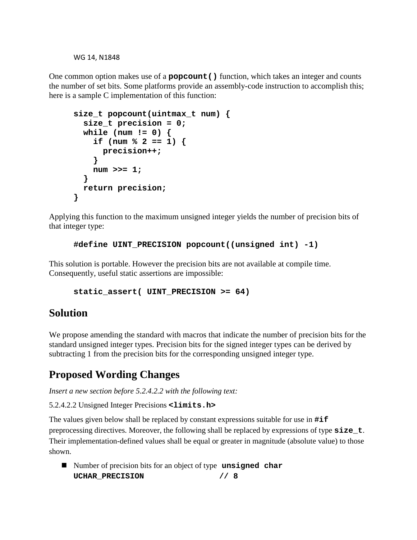One common option makes use of a **popcount()** function, which takes an integer and counts the number of set bits. Some platforms provide an assembly-code instruction to accomplish this; here is a sample C implementation of this function:

```
size_t popcount(uintmax_t num) {
  size_t precision = 0;
 while (num != 0) {
    if (num % 2 == 1) {
      precision++;
    }
   num >>= 1;
  }
 return precision;
}
```
Applying this function to the maximum unsigned integer yields the number of precision bits of that integer type:

**#define UINT\_PRECISION popcount((unsigned int) -1)**

This solution is portable. However the precision bits are not available at compile time. Consequently, useful static assertions are impossible:

```
static_assert( UINT_PRECISION >= 64)
```
# **Solution**

We propose amending the standard with macros that indicate the number of precision bits for the standard unsigned integer types. Precision bits for the signed integer types can be derived by subtracting 1 from the precision bits for the corresponding unsigned integer type.

# **Proposed Wording Changes**

*Insert a new section before 5.2.4.2.2 with the following text:*

5.2.4.2.2 Unsigned Integer Precisions **<limits.h>**

The values given below shall be replaced by constant expressions suitable for use in **#if** preprocessing directives. Moreover, the following shall be replaced by expressions of type **size\_t**. Their implementation-defined values shall be equal or greater in magnitude (absolute value) to those shown.

■ Number of precision bits for an object of type **unsigned char UCHAR\_PRECISION // 8**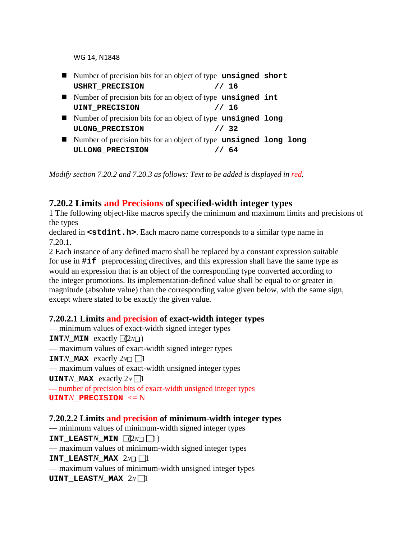- Number of precision bits for an object of type **unsigned short USHRT\_PRECISION // 16**
- Number of precision bits for an object of type **unsigned** int **UINT PRECISION // 16**
- Number of precision bits for an object of type **unsigned long** ULONG PRECISION // 32
- Number of precision bits for an object of type **unsigned long long ULLONG\_PRECISION // 64**

*Modify section 7.20.2 and 7.20.3 as follows: Text to be added is displayed in red.*

#### **7.20.2 Limits and Precisions of specified-width integer types**

1 The following object-like macros specify the minimum and maximum limits and precisions of the types

declared in **<stdint.h>**. Each macro name corresponds to a similar type name in 7.20.1.

2 Each instance of any defined macro shall be replaced by a constant expression suitable for use in **#if** preprocessing directives, and this expression shall have the same type as would an expression that is an object of the corresponding type converted according to the integer promotions. Its implementation-defined value shall be equal to or greater in magnitude (absolute value) than the corresponding value given below, with the same sign, except where stated to be exactly the given value.

#### **7.20.2.1 Limits and precision of exact-width integer types**

— minimum values of exact-width signed integer types **INT***N* **MIN** exactly  $\sqrt{2n\pi}$ — maximum values of exact-width signed integer types **INT***N***\_MAX** exactly  $2n\Box$  1 — maximum values of exact-width unsigned integer types **UINT***N***\_MAX** exactly  $2N \prod$ --- number of precision bits of exact-width unsigned integer types **UINT***N***\_PRECISION** <= N

#### **7.20.2.2 Limits and precision of minimum-width integer types**

— minimum values of minimum-width signed integer types **INT\_LEAST***N***\_MIN**  $\left[\left(2n\right]\right]$  1) — maximum values of minimum-width signed integer types **INT** LEAST*N* MAX  $2M\Box$ — maximum values of minimum-width unsigned integer types **UINT** LEAST*N* MAX  $2N \prod$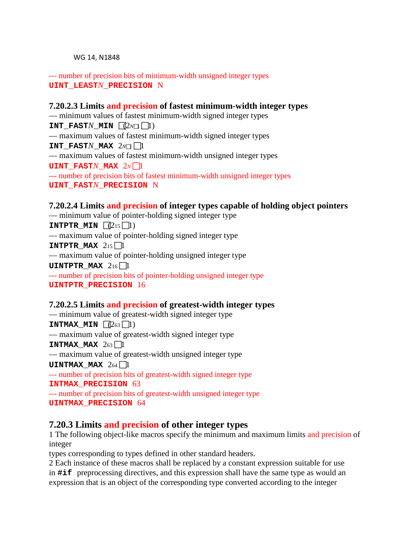--- number of precision bits of minimum-width unsigned integer types **UINT\_LEAST***N***\_PRECISION** N

#### **7.20.2.3 Limits and precision of fastest minimum-width integer types** — minimum values of fastest minimum-width signed integer types **INT** FAST*N* MIN  $\sqrt{(2N\pi)\prod_{i=1}^{N}n_i}$ — maximum values of fastest minimum-width signed integer types **INT** FAST*N* MAX  $2n \Box$ — maximum values of fastest minimum-width unsigned integer types **UINT\_FAST***N***\_MAX**  $2N$  1 --- number of precision bits of fastest minimum-width unsigned integer types

**UINT\_FAST***N***\_PRECISION** N

#### **7.20.2.4 Limits and precision of integer types capable of holding object pointers**

— minimum value of pointer-holding signed integer type **INTPTR MIN**  $\sqrt{215}$  1) — maximum value of pointer-holding signed integer type **INTPTR MAX**  $2_{15}$  1 — maximum value of pointer-holding unsigned integer type **UINTPTR\_MAX**  $2_{16}$  1 --- number of precision bits of pointer-holding unsigned integer type **UINTPTR\_PRECISION** 16

# **7.20.2.5 Limits and precision of greatest-width integer types**

— minimum value of greatest-width signed integer type **INTMAX\_MIN**  $(263 \text{ n})$ — maximum value of greatest-width signed integer type **INTMAX MAX**  $263$  1 — maximum value of greatest-width unsigned integer type **UINTMAX MAX**  $264 \square 1$ --- number of precision bits of greatest-width signed integer type **INTMAX\_PRECISION** 63 --- number of precision bits of greatest-width unsigned integer type **UINTMAX\_PRECISION** 64

#### **7.20.3 Limits and precision of other integer types**

1 The following object-like macros specify the minimum and maximum limits and precision of integer

types corresponding to types defined in other standard headers.

2 Each instance of these macros shall be replaced by a constant expression suitable for use in **#if** preprocessing directives, and this expression shall have the same type as would an expression that is an object of the corresponding type converted according to the integer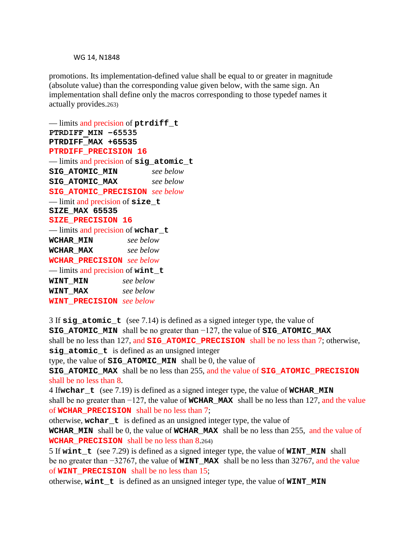promotions. Its implementation-defined value shall be equal to or greater in magnitude (absolute value) than the corresponding value given below, with the same sign. An implementation shall define only the macros corresponding to those typedef names it actually provides.263)

```
— limits and precision of ptrdiff_t
PTRDIFF_MIN −65535
PTRDIFF_MAX +65535
PTRDIFF_PRECISION 16
— limits and precision of sig_atomic_t
SIG_ATOMIC_MIN see below
SIG ATOMIC MAX
SIG_ATOMIC_PRECISION see below
— limit and precision of size_t
SIZE_MAX 65535
SIZE_PRECISION 16
— limits and precision of wchar_t
WCHAR_MIN see below
WCHAR_MAX see below
WCHAR_PRECISION see below
— limits and precision of wint_t
WINT_MIN see below
WINT_MAX see below
WINT_PRECISION see below
```
3 If **sig\_atomic\_t** (see 7.14) is defined as a signed integer type, the value of **SIG\_ATOMIC\_MIN** shall be no greater than −127, the value of **SIG\_ATOMIC\_MAX** shall be no less than 127, and **SIG\_ATOMIC\_PRECISION** shall be no less than 7; otherwise, **sig\_atomic\_t** is defined as an unsigned integer type, the value of **SIG\_ATOMIC\_MIN** shall be 0, the value of **SIG\_ATOMIC\_MAX** shall be no less than 255, and the value of **SIG\_ATOMIC\_PRECISION**  shall be no less than 8. 4 If**wchar\_t** (see 7.19) is defined as a signed integer type, the value of **WCHAR\_MIN** shall be no greater than −127, the value of **WCHAR\_MAX** shall be no less than 127, and the value of **WCHAR\_PRECISION** shall be no less than 7; otherwise, **wchar t** is defined as an unsigned integer type, the value of **WCHAR\_MIN** shall be 0, the value of **WCHAR\_MAX** shall be no less than 255, and the value of **WCHAR\_PRECISION** shall be no less than 8.264) 5 If **wint\_t** (see 7.29) is defined as a signed integer type, the value of **WINT\_MIN** shall be no greater than −32767, the value of **WINT\_MAX** shall be no less than 32767, and the value of **WINT\_PRECISION** shall be no less than 15; otherwise, **wint\_t** is defined as an unsigned integer type, the value of **WINT\_MIN**